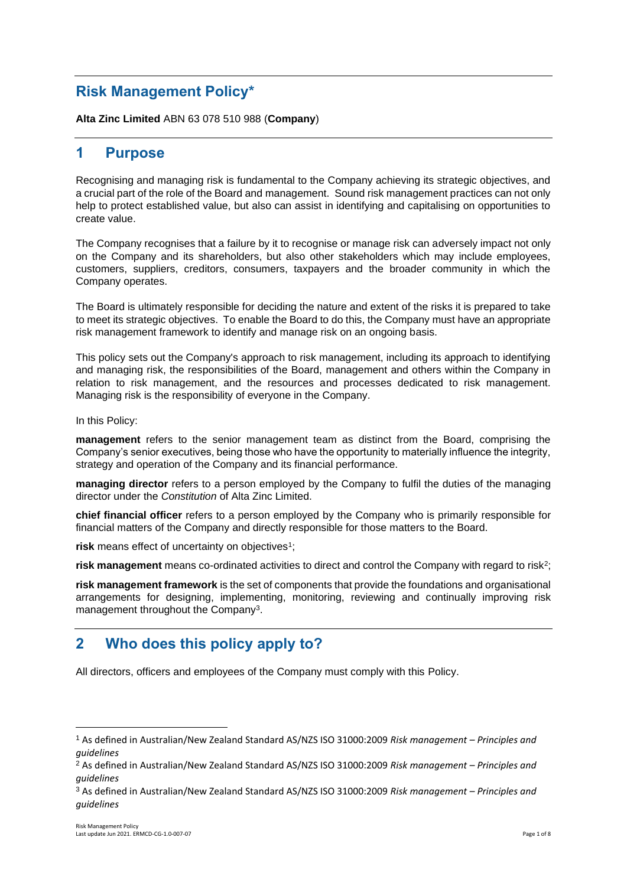# **Risk Management Policy\***

**Alta Zinc Limited** ABN 63 078 510 988 (**Company**)

# **1 Purpose**

Recognising and managing risk is fundamental to the Company achieving its strategic objectives, and a crucial part of the role of the Board and management. Sound risk management practices can not only help to protect established value, but also can assist in identifying and capitalising on opportunities to create value.

The Company recognises that a failure by it to recognise or manage risk can adversely impact not only on the Company and its shareholders, but also other stakeholders which may include employees, customers, suppliers, creditors, consumers, taxpayers and the broader community in which the Company operates.

The Board is ultimately responsible for deciding the nature and extent of the risks it is prepared to take to meet its strategic objectives. To enable the Board to do this, the Company must have an appropriate risk management framework to identify and manage risk on an ongoing basis.

This policy sets out the Company's approach to risk management, including its approach to identifying and managing risk, the responsibilities of the Board, management and others within the Company in relation to risk management, and the resources and processes dedicated to risk management. Managing risk is the responsibility of everyone in the Company.

In this Policy:

**management** refers to the senior management team as distinct from the Board, comprising the Company's senior executives, being those who have the opportunity to materially influence the integrity, strategy and operation of the Company and its financial performance.

**managing director** refers to a person employed by the Company to fulfil the duties of the managing director under the *Constitution* of Alta Zinc Limited.

**chief financial officer** refers to a person employed by the Company who is primarily responsible for financial matters of the Company and directly responsible for those matters to the Board.

risk means effect of uncertainty on objectives<sup>1</sup>;

risk management means co-ordinated activities to direct and control the Company with regard to risk<sup>2</sup>;

**risk management framework** is the set of components that provide the foundations and organisational arrangements for designing, implementing, monitoring, reviewing and continually improving risk management throughout the Company<sup>3</sup>.

# **2 Who does this policy apply to?**

All directors, officers and employees of the Company must comply with this Policy.

<sup>1</sup> As defined in Australian/New Zealand Standard AS/NZS ISO 31000:2009 *Risk management – Principles and guidelines*

<sup>2</sup> As defined in Australian/New Zealand Standard AS/NZS ISO 31000:2009 *Risk management – Principles and guidelines*

<sup>3</sup> As defined in Australian/New Zealand Standard AS/NZS ISO 31000:2009 *Risk management – Principles and guidelines*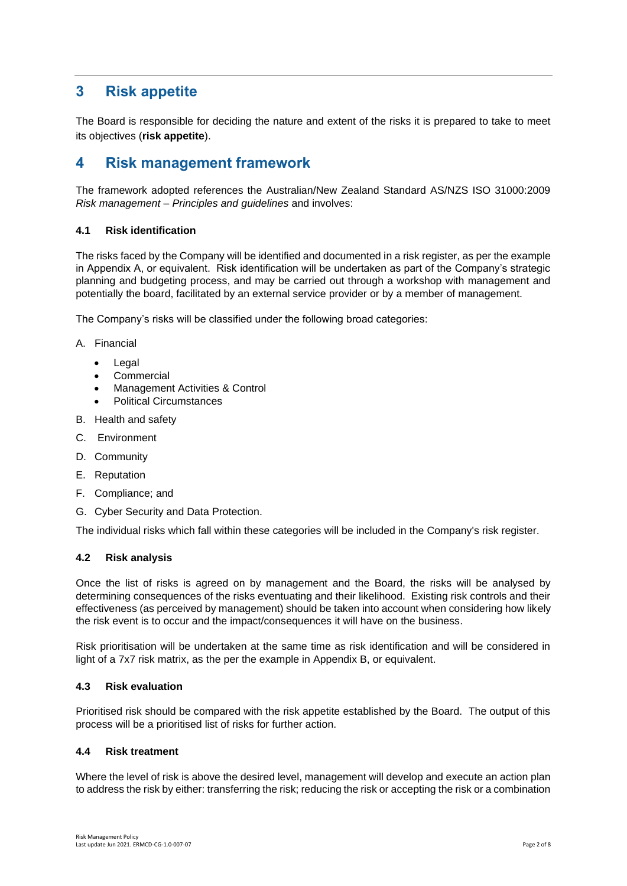# **3 Risk appetite**

The Board is responsible for deciding the nature and extent of the risks it is prepared to take to meet its objectives (**risk appetite**).

# **4 Risk management framework**

The framework adopted references the Australian/New Zealand Standard AS/NZS ISO 31000:2009 *Risk management – Principles and guidelines* and involves:

# **4.1 Risk identification**

The risks faced by the Company will be identified and documented in a risk register, as per the example in Appendix A, or equivalent. Risk identification will be undertaken as part of the Company's strategic planning and budgeting process, and may be carried out through a workshop with management and potentially the board, facilitated by an external service provider or by a member of management.

The Company's risks will be classified under the following broad categories:

## A. Financial

- Legal
- **Commercial**
- Management Activities & Control
- Political Circumstances
- B. Health and safety
- C. Environment
- D. Community
- E. Reputation
- F. Compliance; and
- G. Cyber Security and Data Protection.

The individual risks which fall within these categories will be included in the Company's risk register.

# **4.2 Risk analysis**

Once the list of risks is agreed on by management and the Board, the risks will be analysed by determining consequences of the risks eventuating and their likelihood. Existing risk controls and their effectiveness (as perceived by management) should be taken into account when considering how likely the risk event is to occur and the impact/consequences it will have on the business.

Risk prioritisation will be undertaken at the same time as risk identification and will be considered in light of a 7x7 risk matrix, as the per the example in Appendix B, or equivalent.

# **4.3 Risk evaluation**

Prioritised risk should be compared with the risk appetite established by the Board. The output of this process will be a prioritised list of risks for further action.

#### **4.4 Risk treatment**

Where the level of risk is above the desired level, management will develop and execute an action plan to address the risk by either: transferring the risk; reducing the risk or accepting the risk or a combination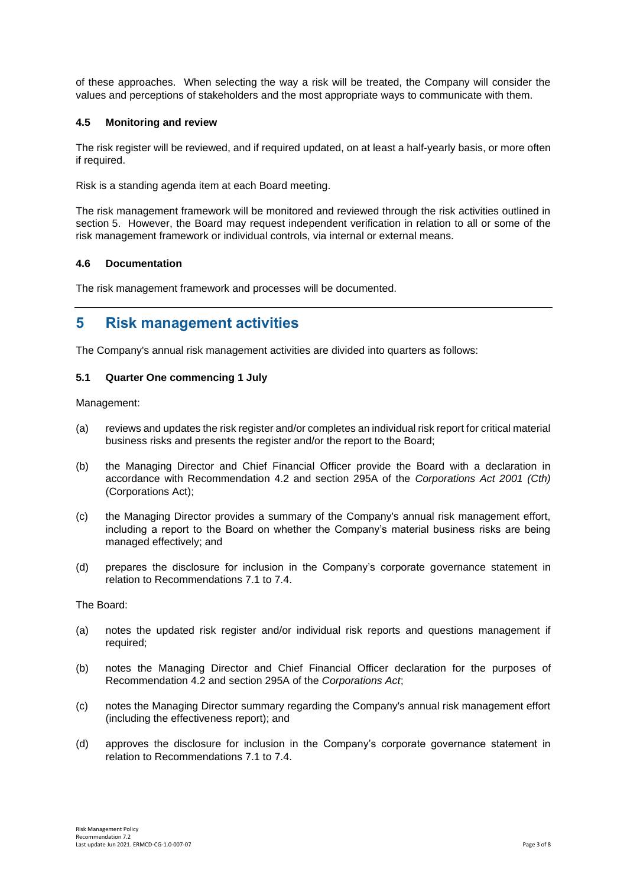of these approaches. When selecting the way a risk will be treated, the Company will consider the values and perceptions of stakeholders and the most appropriate ways to communicate with them.

## **4.5 Monitoring and review**

The risk register will be reviewed, and if required updated, on at least a half-yearly basis, or more often if required.

Risk is a standing agenda item at each Board meeting.

The risk management framework will be monitored and reviewed through the risk activities outlined in section 5. However, the Board may request independent verification in relation to all or some of the risk management framework or individual controls, via internal or external means.

## **4.6 Documentation**

The risk management framework and processes will be documented.

# **5 Risk management activities**

The Company's annual risk management activities are divided into quarters as follows:

## **5.1 Quarter One commencing 1 July**

Management:

- (a) reviews and updates the risk register and/or completes an individual risk report for critical material business risks and presents the register and/or the report to the Board;
- (b) the Managing Director and Chief Financial Officer provide the Board with a declaration in accordance with Recommendation 4.2 and section 295A of the *Corporations Act 2001 (Cth)* (Corporations Act);
- (c) the Managing Director provides a summary of the Company's annual risk management effort, including a report to the Board on whether the Company's material business risks are being managed effectively; and
- (d) prepares the disclosure for inclusion in the Company's corporate governance statement in relation to Recommendations 7.1 to 7.4.

The Board:

- (a) notes the updated risk register and/or individual risk reports and questions management if required;
- (b) notes the Managing Director and Chief Financial Officer declaration for the purposes of Recommendation 4.2 and section 295A of the *Corporations Act*;
- (c) notes the Managing Director summary regarding the Company's annual risk management effort (including the effectiveness report); and
- (d) approves the disclosure for inclusion in the Company's corporate governance statement in relation to Recommendations 7.1 to 7.4.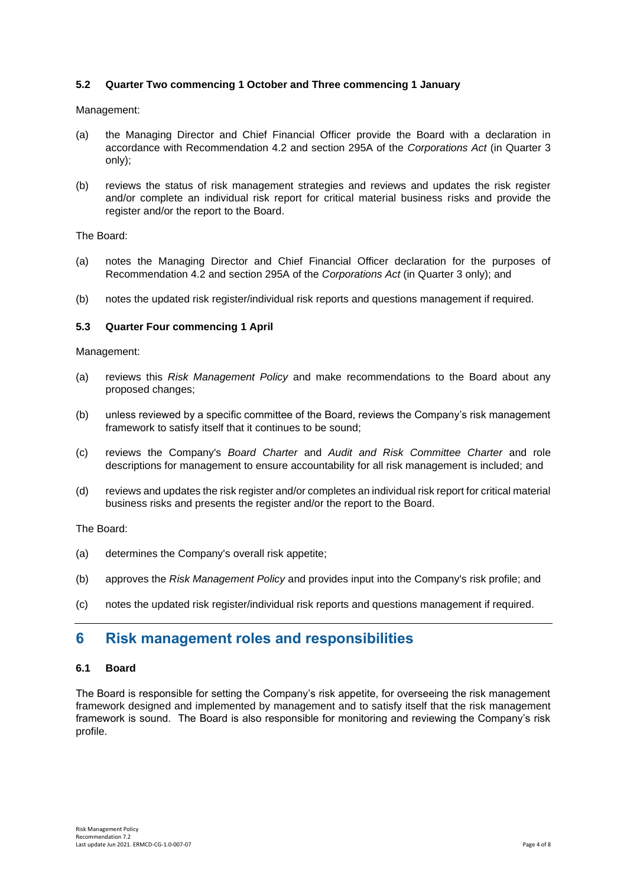# **5.2 Quarter Two commencing 1 October and Three commencing 1 January**

Management:

- (a) the Managing Director and Chief Financial Officer provide the Board with a declaration in accordance with Recommendation 4.2 and section 295A of the *Corporations Act* (in Quarter 3 only);
- (b) reviews the status of risk management strategies and reviews and updates the risk register and/or complete an individual risk report for critical material business risks and provide the register and/or the report to the Board.

The Board:

- (a) notes the Managing Director and Chief Financial Officer declaration for the purposes of Recommendation 4.2 and section 295A of the *Corporations Act* (in Quarter 3 only); and
- (b) notes the updated risk register/individual risk reports and questions management if required.

#### **5.3 Quarter Four commencing 1 April**

Management:

- (a) reviews this *Risk Management Policy* and make recommendations to the Board about any proposed changes;
- (b) unless reviewed by a specific committee of the Board, reviews the Company's risk management framework to satisfy itself that it continues to be sound;
- (c) reviews the Company's *Board Charter* and *Audit and Risk Committee Charter* and role descriptions for management to ensure accountability for all risk management is included; and
- (d) reviews and updates the risk register and/or completes an individual risk report for critical material business risks and presents the register and/or the report to the Board.

The Board:

- (a) determines the Company's overall risk appetite;
- (b) approves the *Risk Management Policy* and provides input into the Company's risk profile; and
- (c) notes the updated risk register/individual risk reports and questions management if required.

# **6 Risk management roles and responsibilities**

#### **6.1 Board**

The Board is responsible for setting the Company's risk appetite, for overseeing the risk management framework designed and implemented by management and to satisfy itself that the risk management framework is sound. The Board is also responsible for monitoring and reviewing the Company's risk profile.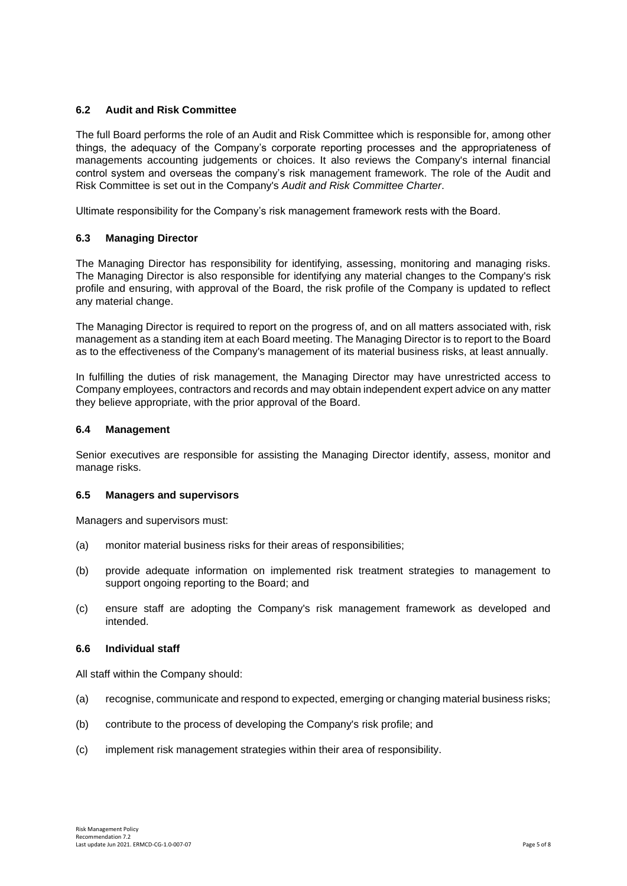# **6.2 Audit and Risk Committee**

The full Board performs the role of an Audit and Risk Committee which is responsible for, among other things, the adequacy of the Company's corporate reporting processes and the appropriateness of managements accounting judgements or choices. It also reviews the Company's internal financial control system and overseas the company's risk management framework. The role of the Audit and Risk Committee is set out in the Company's *Audit and Risk Committee Charter*.

Ultimate responsibility for the Company's risk management framework rests with the Board.

# **6.3 Managing Director**

The Managing Director has responsibility for identifying, assessing, monitoring and managing risks. The Managing Director is also responsible for identifying any material changes to the Company's risk profile and ensuring, with approval of the Board, the risk profile of the Company is updated to reflect any material change.

The Managing Director is required to report on the progress of, and on all matters associated with, risk management as a standing item at each Board meeting. The Managing Director is to report to the Board as to the effectiveness of the Company's management of its material business risks, at least annually.

In fulfilling the duties of risk management, the Managing Director may have unrestricted access to Company employees, contractors and records and may obtain independent expert advice on any matter they believe appropriate, with the prior approval of the Board.

# **6.4 Management**

Senior executives are responsible for assisting the Managing Director identify, assess, monitor and manage risks.

#### **6.5 Managers and supervisors**

Managers and supervisors must:

- (a) monitor material business risks for their areas of responsibilities;
- (b) provide adequate information on implemented risk treatment strategies to management to support ongoing reporting to the Board; and
- (c) ensure staff are adopting the Company's risk management framework as developed and intended.

# **6.6 Individual staff**

All staff within the Company should:

- (a) recognise, communicate and respond to expected, emerging or changing material business risks;
- (b) contribute to the process of developing the Company's risk profile; and
- (c) implement risk management strategies within their area of responsibility.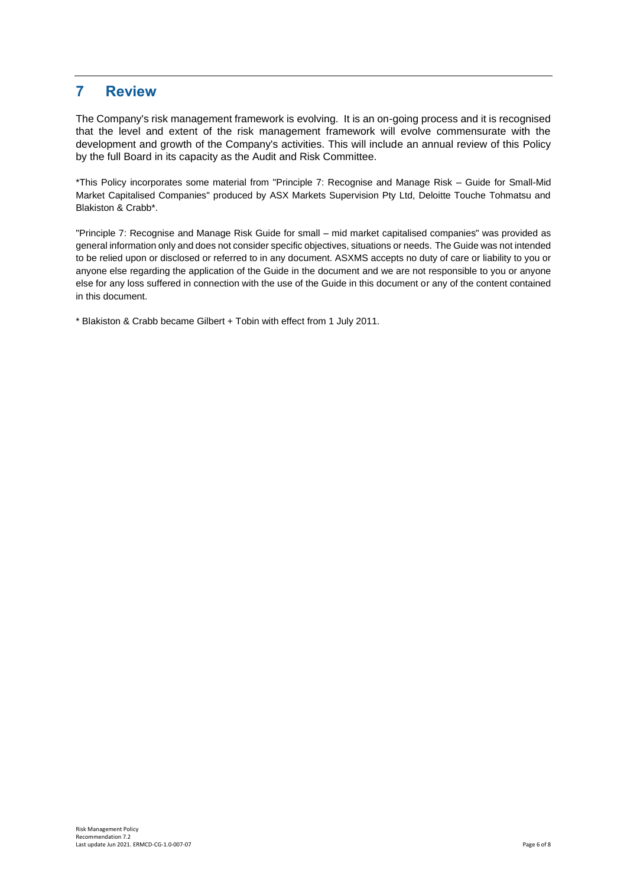# **7 Review**

The Company's risk management framework is evolving. It is an on-going process and it is recognised that the level and extent of the risk management framework will evolve commensurate with the development and growth of the Company's activities. This will include an annual review of this Policy by the full Board in its capacity as the Audit and Risk Committee.

\*This Policy incorporates some material from "Principle 7: Recognise and Manage Risk – Guide for Small-Mid Market Capitalised Companies" produced by ASX Markets Supervision Pty Ltd, Deloitte Touche Tohmatsu and Blakiston & Crabb\*.

"Principle 7: Recognise and Manage Risk Guide for small – mid market capitalised companies" was provided as general information only and does not consider specific objectives, situations or needs. The Guide was not intended to be relied upon or disclosed or referred to in any document. ASXMS accepts no duty of care or liability to you or anyone else regarding the application of the Guide in the document and we are not responsible to you or anyone else for any loss suffered in connection with the use of the Guide in this document or any of the content contained in this document.

\* Blakiston & Crabb became Gilbert + Tobin with effect from 1 July 2011.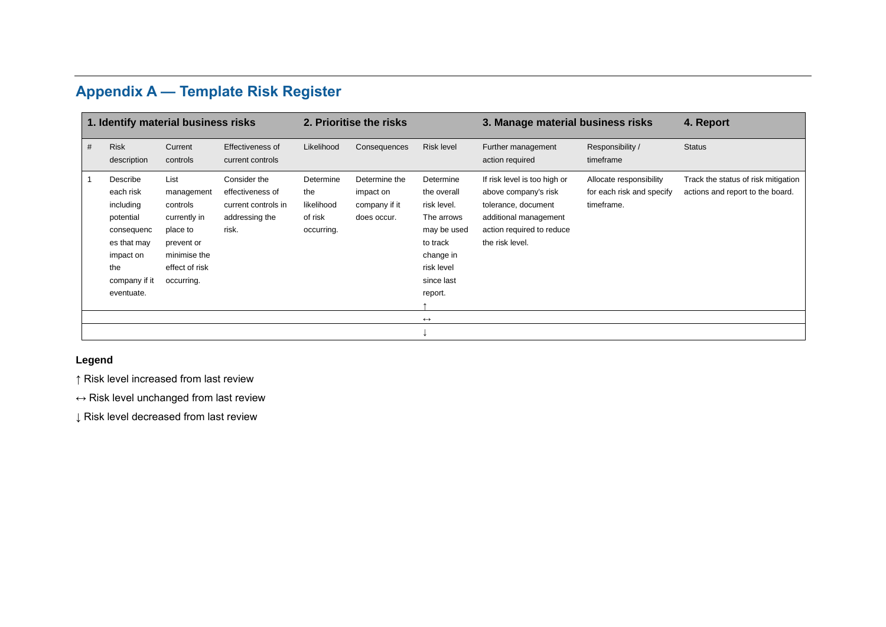# **Appendix A — Template Risk Register**

| 1. Identify material business risks |                                                                                                                                 |                                                                                                                          |                                                                                    | 2. Prioritise the risks                                 |                                                            |                                                                                                                                      | 3. Manage material business risks                                                                                                                    | 4. Report                                                          |                                                                         |
|-------------------------------------|---------------------------------------------------------------------------------------------------------------------------------|--------------------------------------------------------------------------------------------------------------------------|------------------------------------------------------------------------------------|---------------------------------------------------------|------------------------------------------------------------|--------------------------------------------------------------------------------------------------------------------------------------|------------------------------------------------------------------------------------------------------------------------------------------------------|--------------------------------------------------------------------|-------------------------------------------------------------------------|
| #                                   | <b>Risk</b><br>description                                                                                                      | Current<br>controls                                                                                                      | Effectiveness of<br>current controls                                               | Likelihood                                              | Consequences                                               | <b>Risk level</b>                                                                                                                    | Further management<br>action required                                                                                                                | Responsibility /<br>timeframe                                      | <b>Status</b>                                                           |
|                                     | Describe<br>each risk<br>including<br>potential<br>consequenc<br>es that may<br>impact on<br>the<br>company if it<br>eventuate. | List<br>management<br>controls<br>currently in<br>place to<br>prevent or<br>minimise the<br>effect of risk<br>occurring. | Consider the<br>effectiveness of<br>current controls in<br>addressing the<br>risk. | Determine<br>the<br>likelihood<br>of risk<br>occurring. | Determine the<br>impact on<br>company if it<br>does occur. | Determine<br>the overall<br>risk level.<br>The arrows<br>may be used<br>to track<br>change in<br>risk level<br>since last<br>report. | If risk level is too high or<br>above company's risk<br>tolerance, document<br>additional management<br>action required to reduce<br>the risk level. | Allocate responsibility<br>for each risk and specify<br>timeframe. | Track the status of risk mitigation<br>actions and report to the board. |
|                                     |                                                                                                                                 |                                                                                                                          |                                                                                    |                                                         |                                                            | $\leftrightarrow$                                                                                                                    |                                                                                                                                                      |                                                                    |                                                                         |
|                                     |                                                                                                                                 |                                                                                                                          |                                                                                    |                                                         |                                                            |                                                                                                                                      |                                                                                                                                                      |                                                                    |                                                                         |

# **Legend**

↑ Risk level increased from last review

↔ Risk level unchanged from last review

↓ Risk level decreased from last review